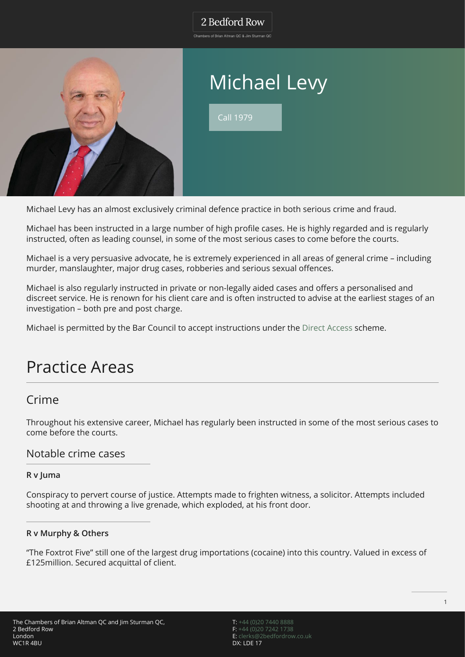## 2 Bedford Row

Chambers of Brian Altman QC & Jim Sturman QC



# Michael Levy

Call 1979

Michael Levy has an almost exclusively criminal defence practice in both serious crime and fraud.

Michael has been instructed in a large number of high profile cases. He is highly regarded and is regularly instructed, often as leading counsel, in some of the most serious cases to come before the courts.

Michael is a very persuasive advocate, he is extremely experienced in all areas of general crime – including murder, manslaughter, major drug cases, robberies and serious sexual offences.

Michael is also regularly instructed in private or non-legally aided cases and offers a personalised and discreet service. He is renown for his client care and is often instructed to advise at the earliest stages of an investigation – both pre and post charge.

Michael is permitted by the Bar Council to accept instructions under the [Direct Access](https://twobrdev.wpengine.com/direct-access/) scheme.

# Practice Areas

## Crime

Throughout his extensive career, Michael has regularly been instructed in some of the most serious cases to come before the courts.

#### Notable crime cases

#### **R v Juma**

Conspiracy to pervert course of justice. Attempts made to frighten witness, a solicitor. Attempts included shooting at and throwing a live grenade, which exploded, at his front door.

#### **R v Murphy & Others**

"The Foxtrot Five" still one of the largest drug importations (cocaine) into this country. Valued in excess of £125million. Secured acquittal of client.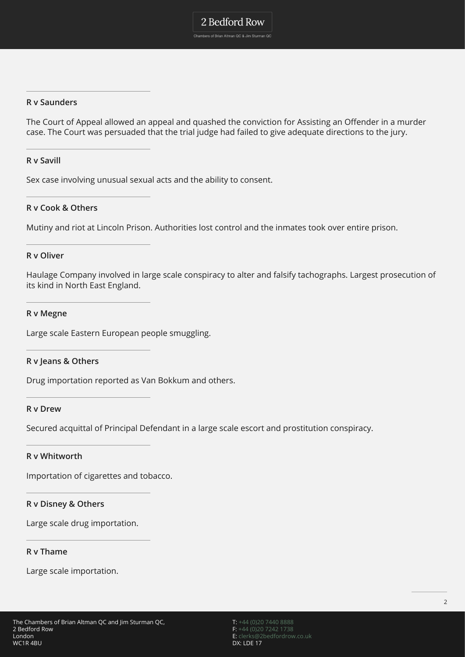#### **R v Saunders**

The Court of Appeal allowed an appeal and quashed the conviction for Assisting an Offender in a murder case. The Court was persuaded that the trial judge had failed to give adequate directions to the jury.

#### **R v Savill**

Sex case involving unusual sexual acts and the ability to consent.

#### **R v Cook & Others**

Mutiny and riot at Lincoln Prison. Authorities lost control and the inmates took over entire prison.

#### **R v Oliver**

Haulage Company involved in large scale conspiracy to alter and falsify tachographs. Largest prosecution of its kind in North East England.

#### **R v Megne**

Large scale Eastern European people smuggling.

#### **R v Jeans & Others**

Drug importation reported as Van Bokkum and others.

#### **R v Drew**

Secured acquittal of Principal Defendant in a large scale escort and prostitution conspiracy.

#### **R v Whitworth**

Importation of cigarettes and tobacco.

#### **R v Disney & Others**

Large scale drug importation.

#### **R v Thame**

Large scale importation.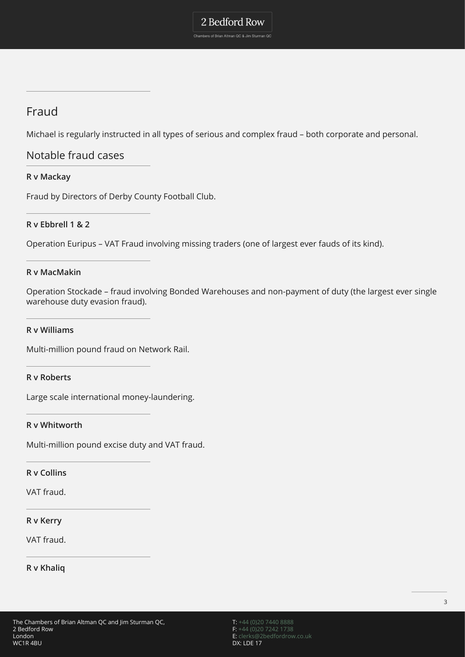## Fraud

Michael is regularly instructed in all types of serious and complex fraud – both corporate and personal.

### Notable fraud cases

#### **R v Mackay**

Fraud by Directors of Derby County Football Club.

#### **R v Ebbrell 1 & 2**

Operation Euripus – VAT Fraud involving missing traders (one of largest ever fauds of its kind).

#### **R v MacMakin**

Operation Stockade – fraud involving Bonded Warehouses and non-payment of duty (the largest ever single warehouse duty evasion fraud).

#### **R v Williams**

Multi-million pound fraud on Network Rail.

#### **R v Roberts**

Large scale international money-laundering.

#### **R v Whitworth**

Multi-million pound excise duty and VAT fraud.

#### **R v Collins**

VAT fraud.

#### **R v Kerry**

VAT fraud.

#### **R v Khaliq**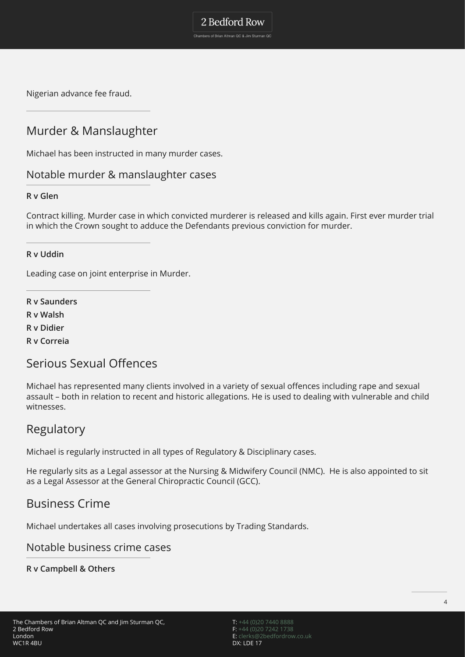Nigerian advance fee fraud.

## Murder & Manslaughter

Michael has been instructed in many murder cases.

### Notable murder & manslaughter cases

#### **R v Glen**

Contract killing. Murder case in which convicted murderer is released and kills again. First ever murder trial in which the Crown sought to adduce the Defendants previous conviction for murder.

2 Bedford Row Chambers of Brian Altman QC & Jim Sturman QC

#### **R v Uddin**

Leading case on joint enterprise in Murder.

**R v Saunders R v Walsh R v Didier R v Correia**

## Serious Sexual Offences

Michael has represented many clients involved in a variety of sexual offences including rape and sexual assault – both in relation to recent and historic allegations. He is used to dealing with vulnerable and child witnesses.

## Regulatory

Michael is regularly instructed in all types of Regulatory & Disciplinary cases.

He regularly sits as a Legal assessor at the Nursing & Midwifery Council (NMC). He is also appointed to sit as a Legal Assessor at the General Chiropractic Council (GCC).

### Business Crime

Michael undertakes all cases involving prosecutions by Trading Standards.

### Notable business crime cases

**R v Campbell & Others**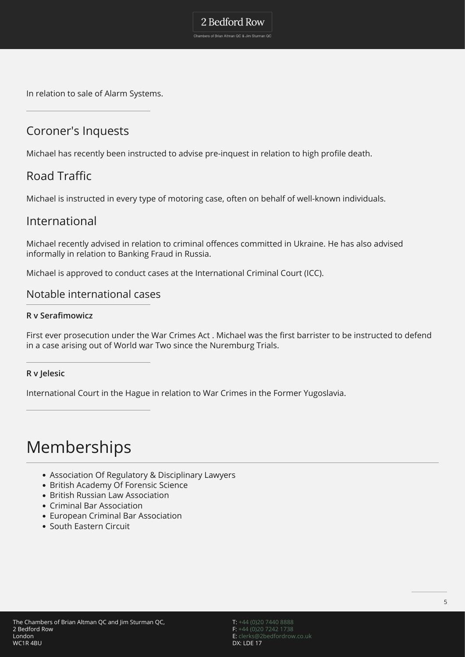In relation to sale of Alarm Systems.

## Coroner's Inquests

Michael has recently been instructed to advise pre-inquest in relation to high profile death.

2 Bedford Row Chambers of Brian Altman QC & Jim Sturman QC

## Road Traffic

Michael is instructed in every type of motoring case, often on behalf of well-known individuals.

### International

Michael recently advised in relation to criminal offences committed in Ukraine. He has also advised informally in relation to Banking Fraud in Russia.

Michael is approved to conduct cases at the International Criminal Court (ICC).

### Notable international cases

#### **R v Serafimowicz**

First ever prosecution under the War Crimes Act . Michael was the first barrister to be instructed to defend in a case arising out of World war Two since the Nuremburg Trials.

#### **R v Jelesic**

International Court in the Hague in relation to War Crimes in the Former Yugoslavia.

# Memberships

- Association Of Regulatory & Disciplinary Lawyers
- British Academy Of Forensic Science
- British Russian Law Association
- Criminal Bar Association
- European Criminal Bar Association
- South Eastern Circuit